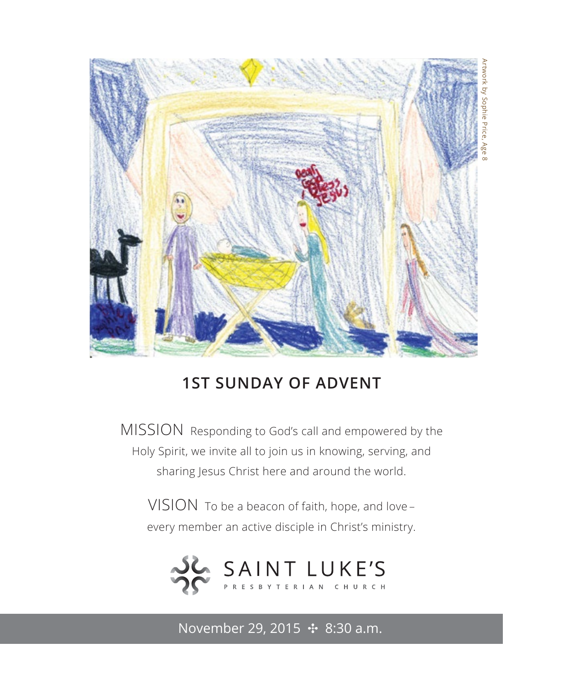

## **1ST SUNDAY OF ADVENT**

MISSION Responding to God's call and empowered by the Holy Spirit, we invite all to join us in knowing, serving, and sharing Jesus Christ here and around the world.

VISION To be a beacon of faith, hope, and love – every member an active disciple in Christ's ministry.



November 29, 2015 ✣ 8:30 a.m.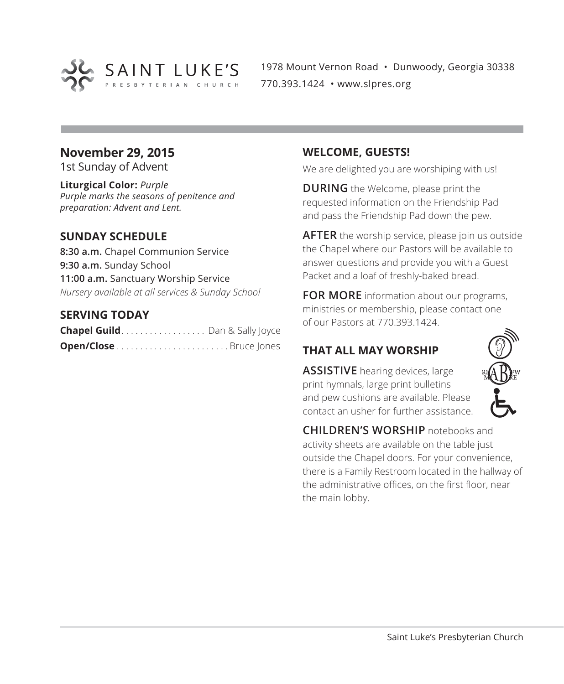

1978 Mount Vernon Road • Dunwoody, Georgia 30338 770.393.1424 • www.slpres.org

### **November 29, 2015**

1st Sunday of Advent

**Liturgical Color:** *Purple Purple marks the seasons of penitence and preparation: Advent and Lent.*

### **SUNDAY SCHEDULE**

**8:30 a.m.** Chapel Communion Service **9:30 a.m.** Sunday School **11:00 a.m.** Sanctuary Worship Service *Nursery available at all services & Sunday School*

### **SERVING TODAY**

| <b>Chapel Guild</b> Dan & Sally Joyce |  |
|---------------------------------------|--|
|                                       |  |

### **WELCOME, GUESTS!**

We are delighted you are worshiping with us!

**DURING** the Welcome, please print the requested information on the Friendship Pad and pass the Friendship Pad down the pew.

**AFTER** the worship service, please join us outside the Chapel where our Pastors will be available to answer questions and provide you with a Guest Packet and a loaf of freshly-baked bread.

**FOR MORE** information about our programs, ministries or membership, please contact one of our Pastors at 770.393.1424.

### **THAT ALL MAY WORSHIP**

**ASSISTIVE** hearing devices, large print hymnals, large print bulletins and pew cushions are available. Please contact an usher for further assistance.



**CHILDREN'S WORSHIP** notebooks and activity sheets are available on the table just outside the Chapel doors. For your convenience, there is a Family Restroom located in the hallway of the administrative offices, on the first floor, near the main lobby.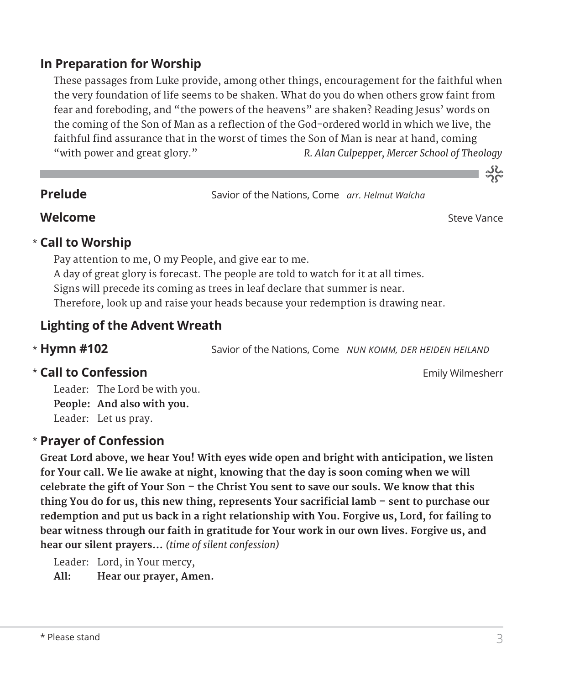### **In Preparation for Worship**

 These passages from Luke provide, among other things, encouragement for the faithful when the very foundation of life seems to be shaken. What do you do when others grow faint from fear and foreboding, and "the powers of the heavens" are shaken? Reading Jesus' words on the coming of the Son of Man as a reflection of the God-ordered world in which we live, the faithful find assurance that in the worst of times the Son of Man is near at hand, coming "with power and great glory." *R. Alan Culpepper, Mercer School of Theology* 

**Prelude** Savior of the Nations, Come *arr. Helmut Walcha*

**Welcome** Steve Vance

သိုင်္

### **Call to Worship** \*

Pay attention to me, O my People, and give ear to me. A day of great glory is forecast. The people are told to watch for it at all times. Signs will precede its coming as trees in leaf declare that summer is near. Therefore, look up and raise your heads because your redemption is drawing near.

### **Lighting of the Advent Wreath**

\* Hymn #102

Savior of the Nations, Come *NUN KOMM, DER HEIDEN HEILAND* 

### **Call to Confession Emily Wilmesherr Emily Wilmesherr**

Leader: The Lord be with you. **People: And also with you.** Leader: Let us pray.

### **Prayer of Confession**  \*

**Great Lord above, we hear You! With eyes wide open and bright with anticipation, we listen for Your call. We lie awake at night, knowing that the day is soon coming when we will celebrate the gift of Your Son – the Christ You sent to save our souls. We know that this thing You do for us, this new thing, represents Your sacrificial lamb – sent to purchase our redemption and put us back in a right relationship with You. Forgive us, Lord, for failing to bear witness through our faith in gratitude for Your work in our own lives. Forgive us, and hear our silent prayers…** *(time of silent confession)*

Leader: Lord, in Your mercy,

**All: Hear our prayer, Amen.**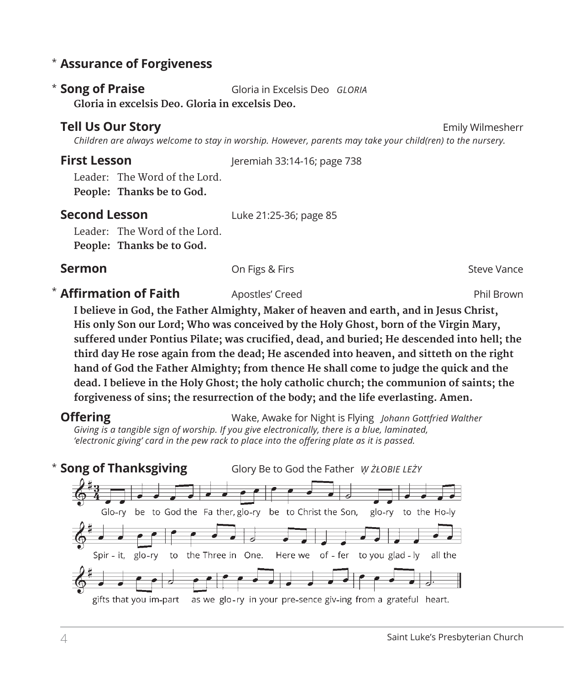### **Assurance of Forgiveness** \*

**Song of Praise** Gloria in Excelsis Deo *GLORIA*  **Gloria in excelsis Deo. Gloria in excelsis Deo.** \* Song of Praise

### **Tell Us Our Story Emily Wilmesherr Emily Wilmesherr**

 *Children are always welcome to stay in worship. However, parents may take your child(ren) to the nursery.* 

**First Lesson** Jeremiah 33:14-16; page 738

Leader: The Word of the Lord. **People: Thanks be to God.** 

**Second Lesson** Luke 21:25-36; page 85

Leader: The Word of the Lord.

**People: Thanks be to God.**

**Sermon** Con Figs & Firs Steve Vance Steve Vance

### **Affirmation of Faith** Apostles' Creed **Apostles' Creed** Phil Brown

 **I believe in God, the Father Almighty, Maker of heaven and earth, and in Jesus Christ, His only Son our Lord; Who was conceived by the Holy Ghost, born of the Virgin Mary, suffered under Pontius Pilate; was crucified, dead, and buried; He descended into hell; the third day He rose again from the dead; He ascended into heaven, and sitteth on the right hand of God the Father Almighty; from thence He shall come to judge the quick and the dead. I believe in the Holy Ghost; the holy catholic church; the communion of saints; the forgiveness of sins; the resurrection of the body; and the life everlasting. Amen.**

**Offering** Wake, Awake for Night is Flying *Johann Gottfried Walther Giving is a tangible sign of worship. If you give electronically, there is a blue, laminated, 'electronic giving' card in the pew rack to place into the offering plate as it is passed.* 

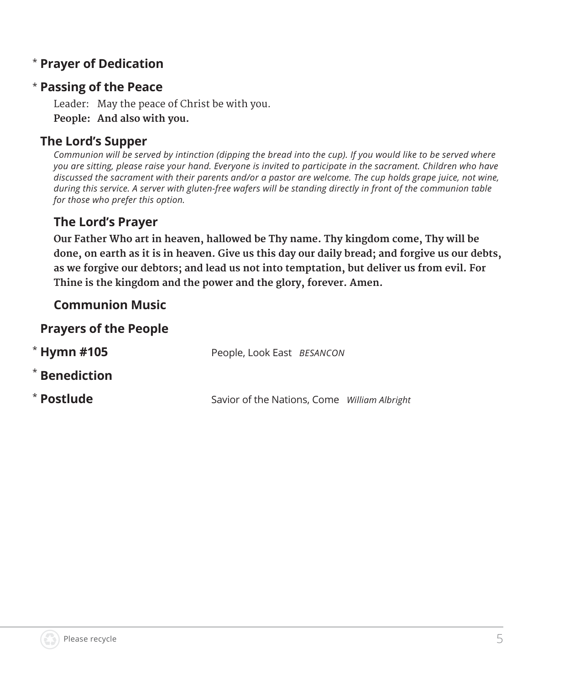## **Prayer of Dedication** \*

### **Passing of the Peace** \*

Leader: May the peace of Christ be with you. **People: And also with you.**

### **The Lord's Supper**

*Communion will be served by intinction (dipping the bread into the cup). If you would like to be served where you are sitting, please raise your hand. Everyone is invited to participate in the sacrament. Children who have discussed the sacrament with their parents and/or a pastor are welcome. The cup holds grape juice, not wine, during this service. A server with gluten-free wafers will be standing directly in front of the communion table for those who prefer this option.*

### **The Lord's Prayer**

 **Our Father Who art in heaven, hallowed be Thy name. Thy kingdom come, Thy will be done, on earth as it is in heaven. Give us this day our daily bread; and forgive us our debts, as we forgive our debtors; and lead us not into temptation, but deliver us from evil. For Thine is the kingdom and the power and the glory, forever. Amen.**

### **Communion Music**

### **Prayers of the People**

| $*$ Hymn #105 | People, Look East BESANCON                   |
|---------------|----------------------------------------------|
| * Benediction |                                              |
| * Postlude    | Savior of the Nations, Come William Albright |

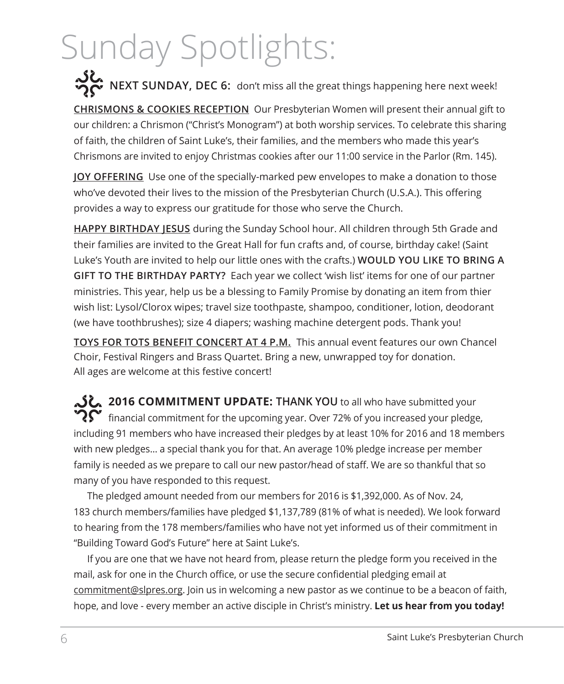# Sunday Spotlights:

**NEXT SUNDAY, DEC 6:** don't miss all the great things happening here next week!

**CHRISMONS & COOKIES RECEPTION** Our Presbyterian Women will present their annual gift to our children: a Chrismon ("Christ's Monogram") at both worship services. To celebrate this sharing of faith, the children of Saint Luke's, their families, and the members who made this year's Chrismons are invited to enjoy Christmas cookies after our 11:00 service in the Parlor (Rm. 145).

**JOY OFFERING** Use one of the specially-marked pew envelopes to make a donation to those who've devoted their lives to the mission of the Presbyterian Church (U.S.A.). This offering provides a way to express our gratitude for those who serve the Church.

**HAPPY BIRTHDAY JESUS** during the Sunday School hour. All children through 5th Grade and their families are invited to the Great Hall for fun crafts and, of course, birthday cake! (Saint Luke's Youth are invited to help our little ones with the crafts.) **WOULD YOU LIKE TO BRING A GIFT TO THE BIRTHDAY PARTY?** Each year we collect 'wish list' items for one of our partner ministries. This year, help us be a blessing to Family Promise by donating an item from thier wish list: Lysol/Clorox wipes; travel size toothpaste, shampoo, conditioner, lotion, deodorant (we have toothbrushes); size 4 diapers; washing machine detergent pods. Thank you!

**TOYS FOR TOTS BENEFIT CONCERT AT 4 P.M.** This annual event features our own Chancel Choir, Festival Ringers and Brass Quartet. Bring a new, unwrapped toy for donation. All ages are welcome at this festive concert!

**2016 COMMITMENT UPDATE: THANK YOU** to all who have submitted your  $\mathbf{Y}$  financial commitment for the upcoming year. Over 72% of you increased your pledge, including 91 members who have increased their pledges by at least 10% for 2016 and 18 members with new pledges… a special thank you for that. An average 10% pledge increase per member family is needed as we prepare to call our new pastor/head of staff. We are so thankful that so many of you have responded to this request.

The pledged amount needed from our members for 2016 is \$1,392,000. As of Nov. 24, 183 church members/families have pledged \$1,137,789 (81% of what is needed). We look forward to hearing from the 178 members/families who have not yet informed us of their commitment in "Building Toward God's Future" here at Saint Luke's.

If you are one that we have not heard from, please return the pledge form you received in the mail, ask for one in the Church office, or use the secure confidential pledging email at commitment@slpres.org. Join us in welcoming a new pastor as we continue to be a beacon of faith, hope, and love - every member an active disciple in Christ's ministry. **Let us hear from you today!**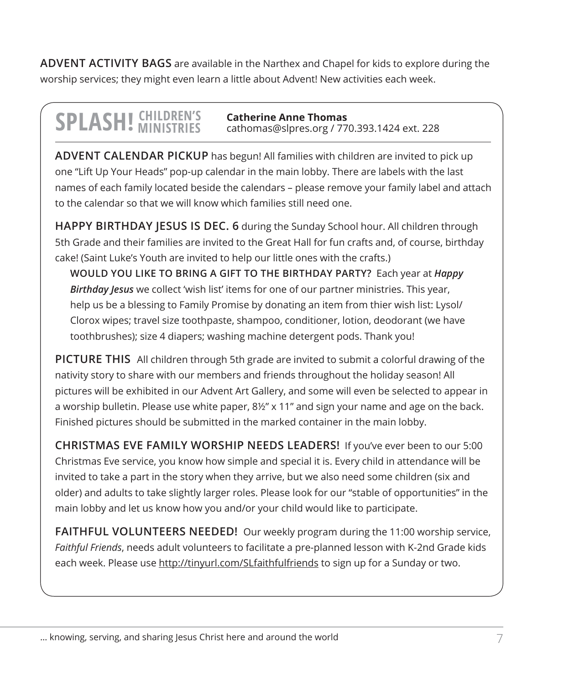**ADVENT ACTIVITY BAGS** are available in the Narthex and Chapel for kids to explore during the worship services; they might even learn a little about Advent! New activities each week.

### **SPLASH!** CHILDREN'S **Catherine Anne Thomas** cathomas@slpres.org / 770.393.1424 ext. 228

**ADVENT CALENDAR PICKUP** has begun! All families with children are invited to pick up one "Lift Up Your Heads" pop-up calendar in the main lobby. There are labels with the last names of each family located beside the calendars – please remove your family label and attach to the calendar so that we will know which families still need one.

**HAPPY BIRTHDAY JESUS IS DEC. 6** during the Sunday School hour. All children through 5th Grade and their families are invited to the Great Hall for fun crafts and, of course, birthday cake! (Saint Luke's Youth are invited to help our little ones with the crafts.)

**WOULD YOU LIKE TO BRING A GIFT TO THE BIRTHDAY PARTY?** Each year at *Happy Birthday Jesus* we collect 'wish list' items for one of our partner ministries. This year, help us be a blessing to Family Promise by donating an item from thier wish list: Lysol/ Clorox wipes; travel size toothpaste, shampoo, conditioner, lotion, deodorant (we have toothbrushes); size 4 diapers; washing machine detergent pods. Thank you!

**PICTURE THIS** All children through 5th grade are invited to submit a colorful drawing of the nativity story to share with our members and friends throughout the holiday season! All pictures will be exhibited in our Advent Art Gallery, and some will even be selected to appear in a worship bulletin. Please use white paper, 8½" x 11" and sign your name and age on the back. Finished pictures should be submitted in the marked container in the main lobby.

**CHRISTMAS EVE FAMILY WORSHIP NEEDS LEADERS!** If you've ever been to our 5:00 Christmas Eve service, you know how simple and special it is. Every child in attendance will be invited to take a part in the story when they arrive, but we also need some children (six and older) and adults to take slightly larger roles. Please look for our "stable of opportunities" in the main lobby and let us know how you and/or your child would like to participate.

**FAITHFUL VOLUNTEERS NEEDED!** Our weekly program during the 11:00 worship service, *Faithful Friends*, needs adult volunteers to facilitate a pre-planned lesson with K-2nd Grade kids each week. Please use http://tinyurl.com/SLfaithfulfriends to sign up for a Sunday or two.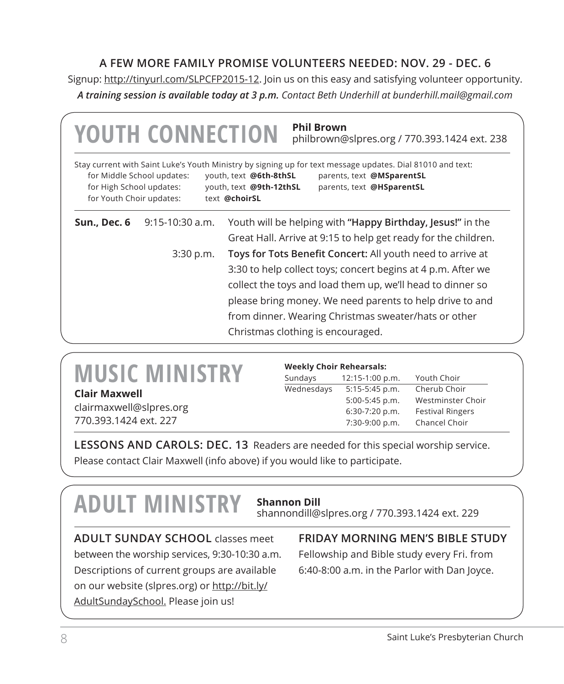### **A FEW MORE FAMILY PROMISE VOLUNTEERS NEEDED: NOV. 29 - DEC. 6**

Signup: http://tinyurl.com/SLPCFP2015-12. Join us on this easy and satisfying volunteer opportunity. *A training session is available today at 3 p.m. Contact Beth Underhill at bunderhill.mail@gmail.com*

|                                                      | <b>YOUTH CONNECTION</b>    | philbrown@slpres.org / 770.393.1424 ext. 238                                                                                                                                                                                               |
|------------------------------------------------------|----------------------------|--------------------------------------------------------------------------------------------------------------------------------------------------------------------------------------------------------------------------------------------|
| for High School updates:<br>for Youth Choir updates: | for Middle School updates: | Stay current with Saint Luke's Youth Ministry by signing up for text message updates. Dial 81010 and text:<br>youth, text @6th-8thSL<br>parents, text @MSparentSL<br>youth, text @9th-12thSL<br>parents, text @HSparentSL<br>text @choirSL |
| Sun., Dec. 6                                         | $9:15-10:30$ a.m.          | Youth will be helping with "Happy Birthday, Jesus!" in the                                                                                                                                                                                 |
|                                                      |                            | Great Hall. Arrive at 9:15 to help get ready for the children.                                                                                                                                                                             |
|                                                      | 3:30 p.m.                  | Toys for Tots Benefit Concert: All youth need to arrive at                                                                                                                                                                                 |
|                                                      |                            | 3:30 to help collect toys; concert begins at 4 p.m. After we                                                                                                                                                                               |
|                                                      |                            | collect the toys and load them up, we'll head to dinner so                                                                                                                                                                                 |
|                                                      |                            | please bring money. We need parents to help drive to and                                                                                                                                                                                   |
|                                                      |                            | from dinner. Wearing Christmas sweater/hats or other                                                                                                                                                                                       |
|                                                      |                            | Christmas clothing is encouraged.                                                                                                                                                                                                          |

| <b>MUSIC MINISTRY</b> |  |  |  |  |
|-----------------------|--|--|--|--|
| Clair Maxwell         |  |  |  |  |

clairmaxwell@slpres.org 770.393.1424 ext. 227

| <b>Weekly Choir Rehearsals:</b> |                 |                         |  |  |  |
|---------------------------------|-----------------|-------------------------|--|--|--|
| Sundays                         | 12:15-1:00 p.m. | Youth Choir             |  |  |  |
| Wednesdays                      | 5:15-5:45 p.m.  | Cherub Choir            |  |  |  |
|                                 | 5:00-5:45 p.m.  | Westminster Choir       |  |  |  |
|                                 | 6:30-7:20 p.m.  | <b>Festival Ringers</b> |  |  |  |
|                                 | 7:30-9:00 p.m.  | Chancel Choir           |  |  |  |

**LESSONS AND CAROLS: DEC. 13** Readers are needed for this special worship service. Please contact Clair Maxwell (info above) if you would like to participate.

## **ADULT MINISTRY Shannon Dill**

shannondill@slpres.org / 770.393.1424 ext. 229

**ADULT SUNDAY SCHOOL** classes meet between the worship services, 9:30-10:30 a.m. Descriptions of current groups are available on our website (slpres.org) or http://bit.ly/ AdultSundaySchool. Please join us!

### **FRIDAY MORNING MEN'S BIBLE STUDY**

Fellowship and Bible study every Fri. from 6:40-8:00 a.m. in the Parlor with Dan Joyce.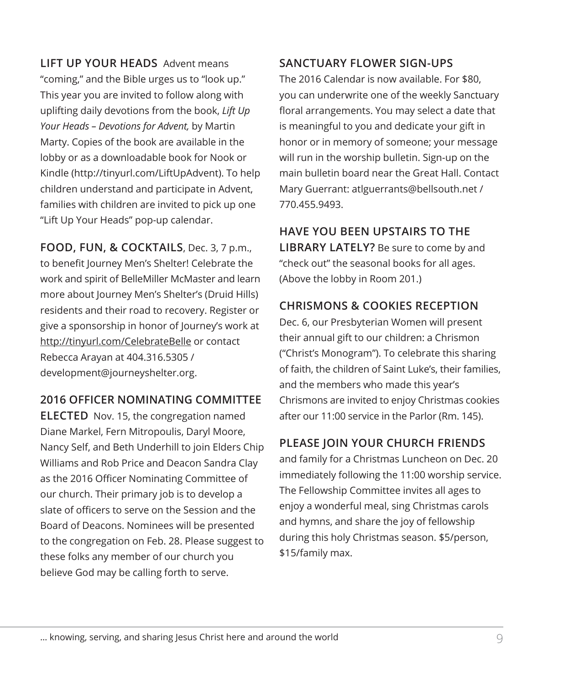**LIFT UP YOUR HEADS** Advent means "coming," and the Bible urges us to "look up." This year you are invited to follow along with uplifting daily devotions from the book, *Lift Up Your Heads – Devotions for Advent,* by Martin Marty. Copies of the book are available in the lobby or as a downloadable book for Nook or Kindle (http://tinyurl.com/LiftUpAdvent). To help children understand and participate in Advent, families with children are invited to pick up one "Lift Up Your Heads" pop-up calendar.

**FOOD, FUN, & COCKTAILS**, Dec. 3, 7 p.m., to benefit Journey Men's Shelter! Celebrate the work and spirit of BelleMiller McMaster and learn more about Journey Men's Shelter's (Druid Hills) residents and their road to recovery. Register or give a sponsorship in honor of Journey's work at http://tinyurl.com/CelebrateBelle or contact Rebecca Arayan at 404.316.5305 / development@journeyshelter.org.

### **2016 OFFICER NOMINATING COMMITTEE**

**ELECTED** Nov. 15, the congregation named Diane Markel, Fern Mitropoulis, Daryl Moore, Nancy Self, and Beth Underhill to join Elders Chip Williams and Rob Price and Deacon Sandra Clay as the 2016 Officer Nominating Committee of our church. Their primary job is to develop a slate of officers to serve on the Session and the Board of Deacons. Nominees will be presented to the congregation on Feb. 28. Please suggest to these folks any member of our church you believe God may be calling forth to serve.

### **SANCTUARY FLOWER SIGN-UPS**

The 2016 Calendar is now available. For \$80, you can underwrite one of the weekly Sanctuary floral arrangements. You may select a date that is meaningful to you and dedicate your gift in honor or in memory of someone; your message will run in the worship bulletin. Sign-up on the main bulletin board near the Great Hall. Contact Mary Guerrant: atlguerrants@bellsouth.net / 770.455.9493.

**HAVE YOU BEEN UPSTAIRS TO THE LIBRARY LATELY?** Be sure to come by and "check out" the seasonal books for all ages. (Above the lobby in Room 201.)

### **CHRISMONS & COOKIES RECEPTION**

Dec. 6, our Presbyterian Women will present their annual gift to our children: a Chrismon ("Christ's Monogram"). To celebrate this sharing of faith, the children of Saint Luke's, their families, and the members who made this year's Chrismons are invited to enjoy Christmas cookies after our 11:00 service in the Parlor (Rm. 145).

### **PLEASE JOIN YOUR CHURCH FRIENDS**

and family for a Christmas Luncheon on Dec. 20 immediately following the 11:00 worship service. The Fellowship Committee invites all ages to enjoy a wonderful meal, sing Christmas carols and hymns, and share the joy of fellowship during this holy Christmas season. \$5/person, \$15/family max.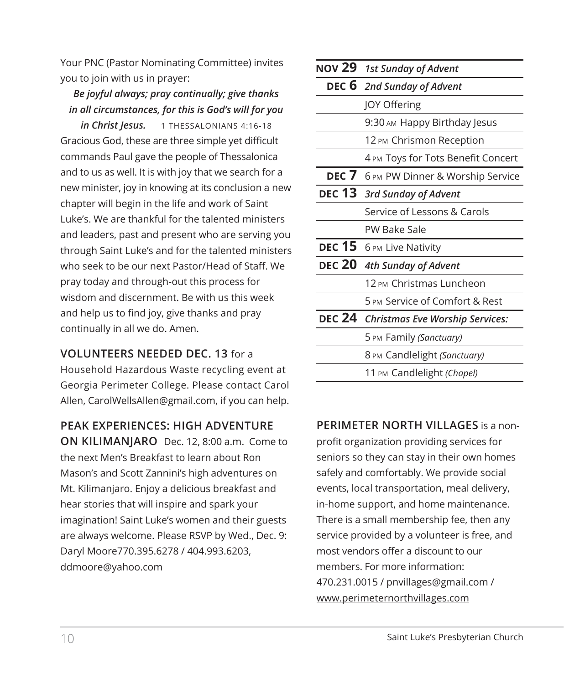Your PNC (Pastor Nominating Committee) invites you to join with us in prayer:

### *Be joyful always; pray continually; give thanks in all circumstances, for this is God's will for you*

*in Christ Jesus.* 1 THESSALONIANS 4:16-18 Gracious God, these are three simple yet difficult commands Paul gave the people of Thessalonica and to us as well. It is with joy that we search for a new minister, joy in knowing at its conclusion a new chapter will begin in the life and work of Saint Luke's. We are thankful for the talented ministers and leaders, past and present who are serving you through Saint Luke's and for the talented ministers who seek to be our next Pastor/Head of Staff. We pray today and through-out this process for wisdom and discernment. Be with us this week and help us to find joy, give thanks and pray continually in all we do. Amen.

### **VOLUNTEERS NEEDED DEC. 13** for a

Household Hazardous Waste recycling event at Georgia Perimeter College. Please contact Carol Allen, CarolWellsAllen@gmail.com, if you can help.

**PEAK EXPERIENCES: HIGH ADVENTURE ON KILIMANJARO** Dec. 12, 8:00 a.m. Come to the next Men's Breakfast to learn about Ron Mason's and Scott Zannini's high adventures on Mt. Kilimanjaro. Enjoy a delicious breakfast and hear stories that will inspire and spark your imagination! Saint Luke's women and their guests are always welcome. Please RSVP by Wed., Dec. 9: Daryl Moore770.395.6278 / 404.993.6203, ddmoore@yahoo.com

| NOV 29 1st Sunday of Advent            |  |  |  |
|----------------------------------------|--|--|--|
| DEC 6 2nd Sunday of Advent             |  |  |  |
| <b>JOY Offering</b>                    |  |  |  |
| 9:30 AM Happy Birthday Jesus           |  |  |  |
| 12 PM Chrismon Reception               |  |  |  |
| 4 PM Toys for Tots Benefit Concert     |  |  |  |
| DEC 7 6 PM PW Dinner & Worship Service |  |  |  |
| DEC 13 3rd Sunday of Advent            |  |  |  |
| Service of Lessons & Carols            |  |  |  |
| PW Bake Sale                           |  |  |  |
| DEC 15 6 PM Live Nativity              |  |  |  |
| DEC 20 4th Sunday of Advent            |  |  |  |
| 12 PM Christmas Luncheon               |  |  |  |
| 5 PM Service of Comfort & Rest         |  |  |  |
| DEC 24 Christmas Eve Worship Services: |  |  |  |
| 5 PM Family (Sanctuary)                |  |  |  |
| 8 PM Candlelight (Sanctuary)           |  |  |  |
| 11 PM Candlelight (Chapel)             |  |  |  |

### **PERIMETER NORTH VILLAGES** is a non-

profit organization providing services for seniors so they can stay in their own homes safely and comfortably. We provide social events, local transportation, meal delivery, in-home support, and home maintenance. There is a small membership fee, then any service provided by a volunteer is free, and most vendors offer a discount to our members. For more information: 470.231.0015 / pnvillages@gmail.com / www.perimeternorthvillages.com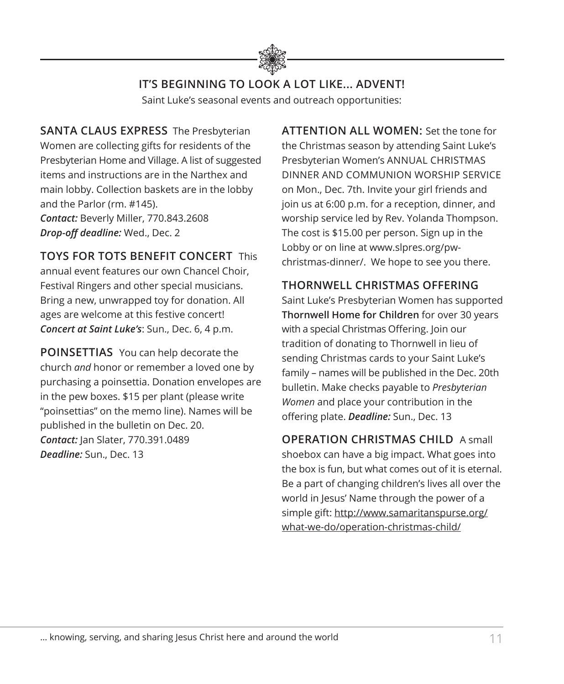

## **IT'S BEGINNING TO LOOK A LOT LIKE... ADVENT!**

Saint Luke's seasonal events and outreach opportunities:

**SANTA CLAUS EXPRESS** The Presbyterian Women are collecting gifts for residents of the Presbyterian Home and Village. A list of suggested items and instructions are in the Narthex and main lobby. Collection baskets are in the lobby and the Parlor (rm. #145). *Contact:* Beverly Miller, 770.843.2608

*Drop-off deadline:* Wed., Dec. 2

**TOYS FOR TOTS BENEFIT CONCERT** This

annual event features our own Chancel Choir, Festival Ringers and other special musicians. Bring a new, unwrapped toy for donation. All ages are welcome at this festive concert! *Concert at Saint Luke's*: Sun., Dec. 6, 4 p.m.

**POINSETTIAS** You can help decorate the church *and* honor or remember a loved one by purchasing a poinsettia. Donation envelopes are in the pew boxes. \$15 per plant (please write "poinsettias" on the memo line). Names will be published in the bulletin on Dec. 20. *Contact:* Jan Slater, 770.391.0489 *Deadline:* Sun., Dec. 13

**ATTENTION ALL WOMEN:** Set the tone for the Christmas season by attending Saint Luke's Presbyterian Women's ANNUAL CHRISTMAS DINNER AND COMMUNION WORSHIP SERVICE on Mon., Dec. 7th. Invite your girl friends and join us at 6:00 p.m. for a reception, dinner, and worship service led by Rev. Yolanda Thompson. The cost is \$15.00 per person. Sign up in the Lobby or on line at www.slpres.org/pwchristmas-dinner/. We hope to see you there.

### **THORNWELL CHRISTMAS OFFERING**

Saint Luke's Presbyterian Women has supported **Thornwell Home for Children** for over 30 years with a special Christmas Offering. Join our tradition of donating to Thornwell in lieu of sending Christmas cards to your Saint Luke's family – names will be published in the Dec. 20th bulletin. Make checks payable to *Presbyterian Women* and place your contribution in the offering plate. *Deadline:* Sun., Dec. 13

## **OPERATION CHRISTMAS CHILD** A small

shoebox can have a big impact. What goes into the box is fun, but what comes out of it is eternal. Be a part of changing children's lives all over the world in Jesus' Name through the power of a simple gift: http://www.samaritanspurse.org/ what-we-do/operation-christmas-child/